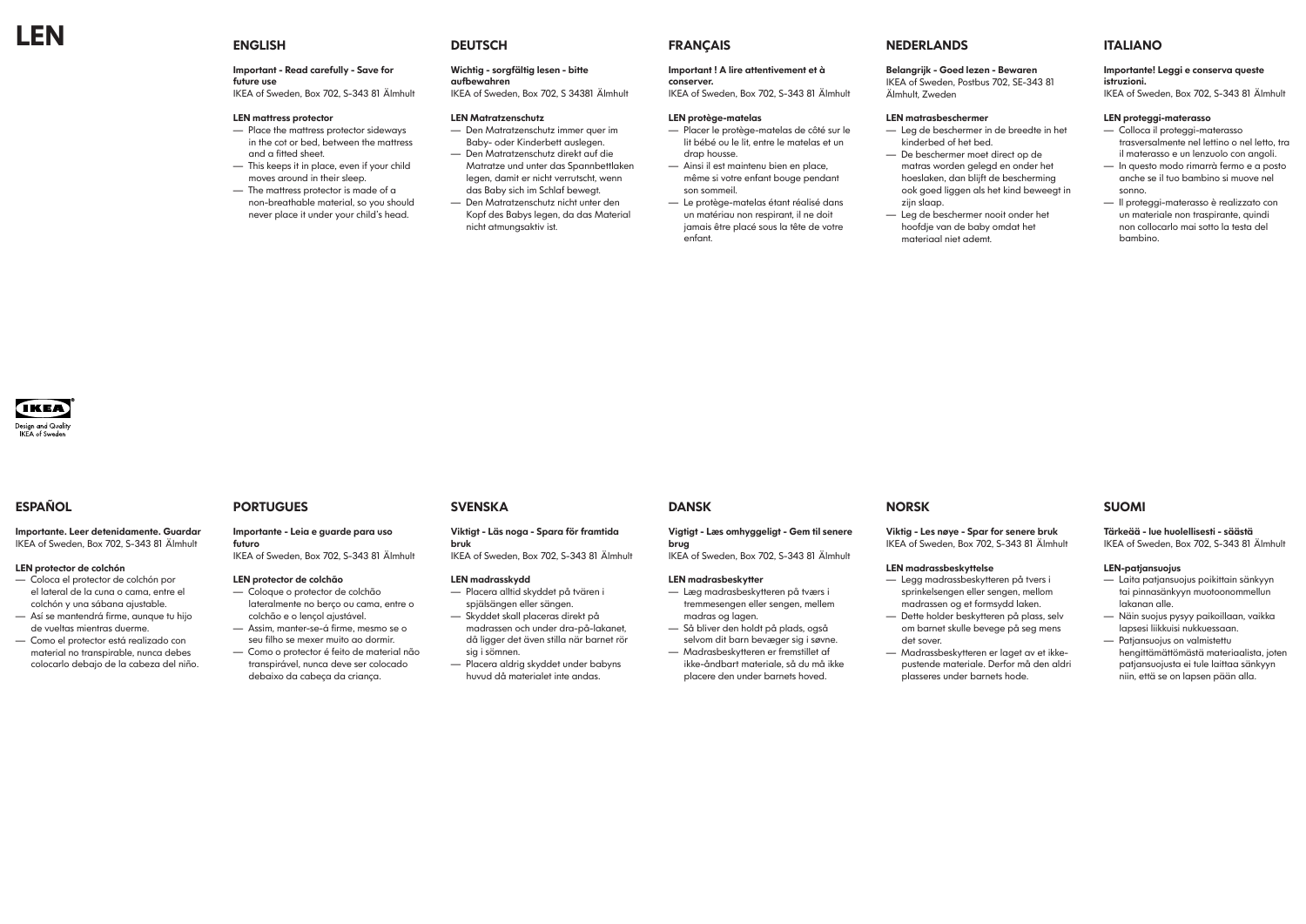Important - Read carefully - Save for future use

IKEA of Sweden, Box 702, S-343 81 Älmhult

### LEN mattress protector

- Place the mattress protector sideways in the cot or bed, between the mattress and a fitted sheet.
- This keeps it in place, even if your child moves around in their sleep.
- The mattress protector is made of a non-breathable material, so you should never place it under your child's head.

## **DEUTSCH**

### Wichtig - sorgfältig lesen - bitte aufbewahren

IKEA of Sweden, Box 702, S 34381 Älmhult

## LEN Matratzenschutz

- Den Matratzenschutz immer quer im Baby- oder Kinderbett auslegen. — Den Matratzenschutz direkt auf die
- Matratze und unter das Spannbettlaken legen, damit er nicht verrutscht, wenn das Baby sich im Schlaf bewegt.
- Den Matratzenschutz nicht unter den Kopf des Babys legen, da das Material nicht atmungsaktiv ist.

## **FRANÇAIS**

### Important ! A lire attentivement et à conserver.

IKEA of Sweden, Box 702, S-343 81 Älmhult

### LEN protège-matelas

- Placer le protège-matelas de côté sur le lit bébé ou le lit, entre le matelas et un drap housse.
- Ainsi il est maintenu bien en place, même si votre enfant bouge pendant son sommeil.
- Le protège-matelas étant réalisé dans un matériau non respirant, il ne doit jamais être placé sous la tête de votre enfant.

# NEDERLANDS

## Belangrijk - Goed lezen - Bewaren IKEA of Sweden, Postbus 702, SE-343 81 Älmhult, Zweden

#### LEN matrasbeschermer

- Leg de beschermer in de breedte in het
	-
	-
	-

- kinderbed of het bed. — De beschermer moet direct op de matras worden gelegd en onder het hoeslaken, dan blijft de bescherming ook goed liggen als het kind beweegt in zijn slaap.
- Leg de beschermer nooit onder het hoofdje van de baby omdat het materiaal niet ademt.



# ITALIANO

## Importante! Leggi e conserva queste istruzioni.

IKEA of Sweden, Box 702, S-343 81 Älmhult

## LEN proteggi-materasso

- Colloca il proteggi-materasso trasversalmente nel lettino o nel letto, tra il materasso e un lenzuolo con angoli.
- In questo modo rimarrà fermo e a posto anche se il tuo bambino si muove nel sonno.
- Il proteggi-materasso è realizzato con un materiale non traspirante, quindi non collocarlo mai sotto la testa del bambino.

# ESPAÑOL

Importante. Leer detenidamente. Guardar IKEA of Sweden, Box 702, S-343 81 Älmhult

### LEN protector de colchón

- Coloca el protector de colchón por el lateral de la cuna o cama, entre el colchón y una sábana ajustable. — Así se mantendrá firme, aunque tu hijo
- de vueltas mientras duerme.
- Como el protector está realizado con material no transpirable, nunca debes colocarlo debajo de la cabeza del niño.

# PORTUGUES

Importante - Leia e guarde para uso futuro

IKEA of Sweden, Box 702, S-343 81 Älmhult

### LEN protector de colchão

- Coloque o protector de colchão lateralmente no berço ou cama, entre o colchão e o lençol ajustável.
- Assim, manter-se-á firme, mesmo se o seu filho se mexer muito ao dormir.
- Como o protector é feito de material não transpirável, nunca deve ser colocado debaixo da cabeça da criança.

## **SVENSKA**

### Viktigt - Läs noga - Spara för framtida bruk

IKEA of Sweden, Box 702, S-343 81 Älmhult

### LEN madrasskydd

- Placera alltid skyddet på tvären i spjälsängen eller sängen. — Skyddet skall placeras direkt på
- madrassen och under dra-på-lakanet, då ligger det även stilla när barnet rör sig i sömnen.
- Placera aldrig skyddet under babyns huvud då materialet inte andas.

## DANSK

## Vigtigt - Læs omhyggeligt - Gem til senere brug

IKEA of Sweden, Box 702, S-343 81 Älmhult

### LEN madrasbeskytter

- Læg madrasbeskytteren på tværs i tremmesengen eller sengen, mellem madras og lagen.
- Så bliver den holdt på plads, også selvom dit barn bevæger sig i søvne.
- Madrasbeskytteren er fremstillet af ikke-åndbart materiale, så du må ikke placere den under barnets hoved.

## NORSK

### Viktig - Les nøye - Spar for senere bruk IKEA of Sweden, Box 702, S-343 81 Älmhult

## LEN madrassbeskyttelse

— Dette holder beskytteren på plass, selv

- Legg madrassbeskytteren på tvers i sprinkelsengen eller sengen, mellom madrassen og et formsydd laken.
- om barnet skulle bevege på seg mens det sover.
- Madrassbeskytteren er laget av et ikkepustende materiale. Derfor må den aldri plasseres under barnets hode.

# SUOMI

Tärkeää - lue huolellisesti - säästä IKEA of Sweden, Box 702, S-343 81 Älmhult

## LEN-patjansuojus

- Laita patjansuojus poikittain sänkyyn tai pinnasänkyyn muotoonommellun lakanan alle.
- Näin suojus pysyy paikoillaan, vaikka lapsesi liikkuisi nukkuessaan.
- Patjansuojus on valmistettu hengittämättömästä materiaalista, joten patjansuojusta ei tule laittaa sänkyyn niin, että se on lapsen pään alla.